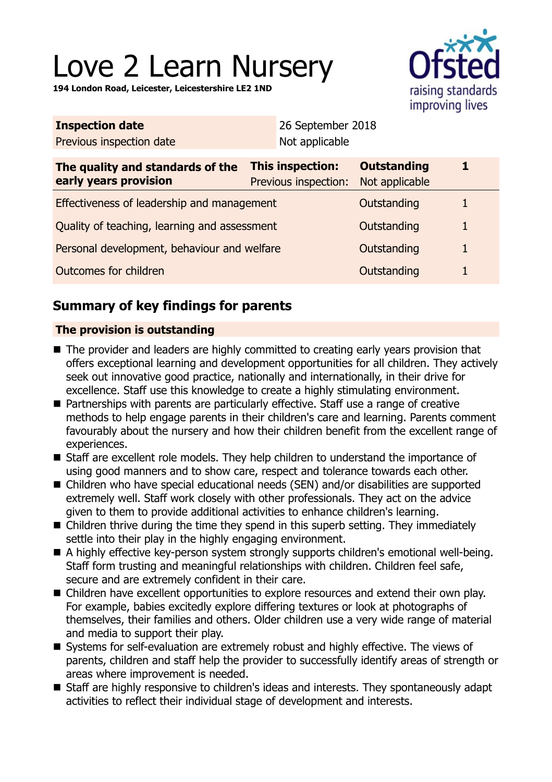# Love 2 Learn Nursery

**194 London Road, Leicester, Leicestershire LE2 1ND**



| <b>Inspection date</b>                                    |  | 26 September 2018                               |                                      |   |
|-----------------------------------------------------------|--|-------------------------------------------------|--------------------------------------|---|
| Previous inspection date                                  |  | Not applicable                                  |                                      |   |
| The quality and standards of the<br>early years provision |  | <b>This inspection:</b><br>Previous inspection: | <b>Outstanding</b><br>Not applicable | 1 |
| Effectiveness of leadership and management                |  |                                                 | Outstanding                          | 1 |
| Quality of teaching, learning and assessment              |  |                                                 | Outstanding                          | 1 |
| Personal development, behaviour and welfare               |  |                                                 | Outstanding                          | 1 |
| Outcomes for children                                     |  |                                                 | Outstanding                          | 1 |
|                                                           |  |                                                 |                                      |   |

# **Summary of key findings for parents**

## **The provision is outstanding**

- The provider and leaders are highly committed to creating early years provision that offers exceptional learning and development opportunities for all children. They actively seek out innovative good practice, nationally and internationally, in their drive for excellence. Staff use this knowledge to create a highly stimulating environment.
- Partnerships with parents are particularly effective. Staff use a range of creative methods to help engage parents in their children's care and learning. Parents comment favourably about the nursery and how their children benefit from the excellent range of experiences.
- Staff are excellent role models. They help children to understand the importance of using good manners and to show care, respect and tolerance towards each other.
- Children who have special educational needs (SEN) and/or disabilities are supported extremely well. Staff work closely with other professionals. They act on the advice given to them to provide additional activities to enhance children's learning.
- $\blacksquare$  Children thrive during the time they spend in this superb setting. They immediately settle into their play in the highly engaging environment.
- A highly effective key-person system strongly supports children's emotional well-being. Staff form trusting and meaningful relationships with children. Children feel safe, secure and are extremely confident in their care.
- Children have excellent opportunities to explore resources and extend their own play. For example, babies excitedly explore differing textures or look at photographs of themselves, their families and others. Older children use a very wide range of material and media to support their play.
- Systems for self-evaluation are extremely robust and highly effective. The views of parents, children and staff help the provider to successfully identify areas of strength or areas where improvement is needed.
- Staff are highly responsive to children's ideas and interests. They spontaneously adapt activities to reflect their individual stage of development and interests.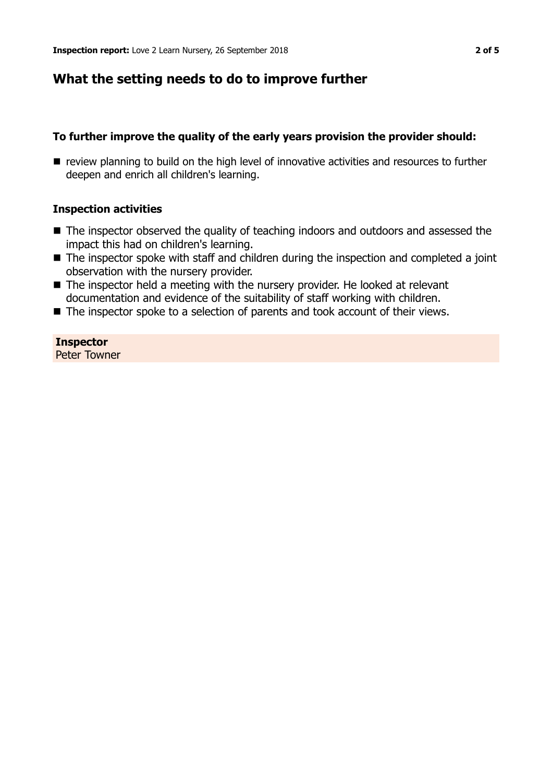## **What the setting needs to do to improve further**

#### **To further improve the quality of the early years provision the provider should:**

**n** review planning to build on the high level of innovative activities and resources to further deepen and enrich all children's learning.

#### **Inspection activities**

- The inspector observed the quality of teaching indoors and outdoors and assessed the impact this had on children's learning.
- $\blacksquare$  The inspector spoke with staff and children during the inspection and completed a joint observation with the nursery provider.
- $\blacksquare$  The inspector held a meeting with the nursery provider. He looked at relevant documentation and evidence of the suitability of staff working with children.
- $\blacksquare$  The inspector spoke to a selection of parents and took account of their views.

**Inspector** Peter Towner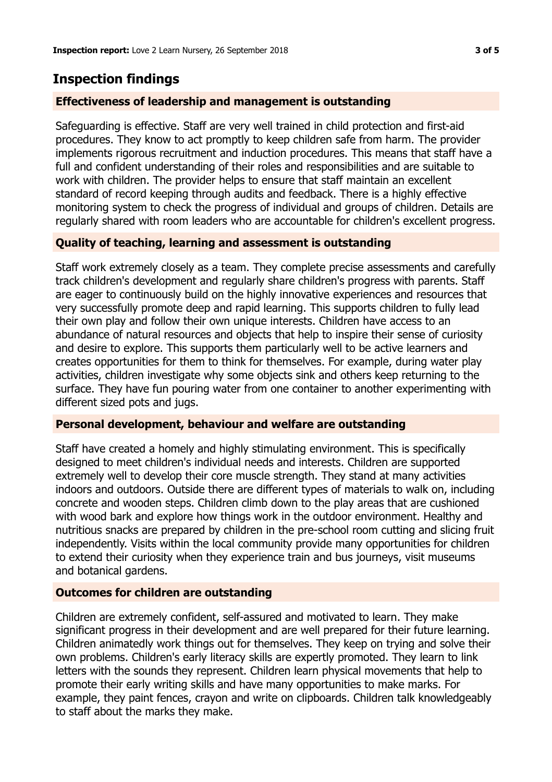# **Inspection findings**

## **Effectiveness of leadership and management is outstanding**

Safeguarding is effective. Staff are very well trained in child protection and first-aid procedures. They know to act promptly to keep children safe from harm. The provider implements rigorous recruitment and induction procedures. This means that staff have a full and confident understanding of their roles and responsibilities and are suitable to work with children. The provider helps to ensure that staff maintain an excellent standard of record keeping through audits and feedback. There is a highly effective monitoring system to check the progress of individual and groups of children. Details are regularly shared with room leaders who are accountable for children's excellent progress.

## **Quality of teaching, learning and assessment is outstanding**

Staff work extremely closely as a team. They complete precise assessments and carefully track children's development and regularly share children's progress with parents. Staff are eager to continuously build on the highly innovative experiences and resources that very successfully promote deep and rapid learning. This supports children to fully lead their own play and follow their own unique interests. Children have access to an abundance of natural resources and objects that help to inspire their sense of curiosity and desire to explore. This supports them particularly well to be active learners and creates opportunities for them to think for themselves. For example, during water play activities, children investigate why some objects sink and others keep returning to the surface. They have fun pouring water from one container to another experimenting with different sized pots and jugs.

## **Personal development, behaviour and welfare are outstanding**

Staff have created a homely and highly stimulating environment. This is specifically designed to meet children's individual needs and interests. Children are supported extremely well to develop their core muscle strength. They stand at many activities indoors and outdoors. Outside there are different types of materials to walk on, including concrete and wooden steps. Children climb down to the play areas that are cushioned with wood bark and explore how things work in the outdoor environment. Healthy and nutritious snacks are prepared by children in the pre-school room cutting and slicing fruit independently. Visits within the local community provide many opportunities for children to extend their curiosity when they experience train and bus journeys, visit museums and botanical gardens.

## **Outcomes for children are outstanding**

Children are extremely confident, self-assured and motivated to learn. They make significant progress in their development and are well prepared for their future learning. Children animatedly work things out for themselves. They keep on trying and solve their own problems. Children's early literacy skills are expertly promoted. They learn to link letters with the sounds they represent. Children learn physical movements that help to promote their early writing skills and have many opportunities to make marks. For example, they paint fences, crayon and write on clipboards. Children talk knowledgeably to staff about the marks they make.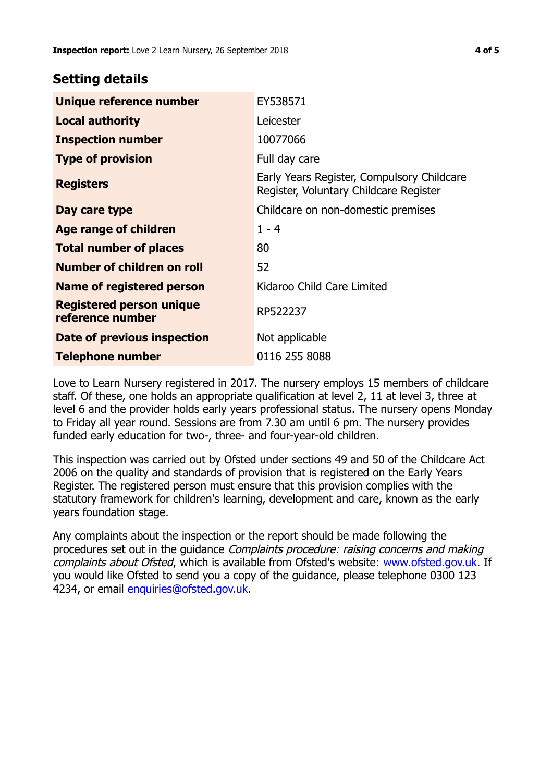## **Setting details**

| Unique reference number                      | EY538571                                                                             |  |
|----------------------------------------------|--------------------------------------------------------------------------------------|--|
| <b>Local authority</b>                       | Leicester                                                                            |  |
| <b>Inspection number</b>                     | 10077066                                                                             |  |
| <b>Type of provision</b>                     | Full day care                                                                        |  |
| <b>Registers</b>                             | Early Years Register, Compulsory Childcare<br>Register, Voluntary Childcare Register |  |
| Day care type                                | Childcare on non-domestic premises                                                   |  |
| Age range of children                        | $1 - 4$                                                                              |  |
| <b>Total number of places</b>                | 80                                                                                   |  |
| Number of children on roll                   | 52                                                                                   |  |
| Name of registered person                    | Kidaroo Child Care Limited                                                           |  |
| Registered person unique<br>reference number | RP522237                                                                             |  |
| Date of previous inspection                  | Not applicable                                                                       |  |
| <b>Telephone number</b>                      | 0116 255 8088                                                                        |  |

Love to Learn Nursery registered in 2017. The nursery employs 15 members of childcare staff. Of these, one holds an appropriate qualification at level 2, 11 at level 3, three at level 6 and the provider holds early years professional status. The nursery opens Monday to Friday all year round. Sessions are from 7.30 am until 6 pm. The nursery provides funded early education for two-, three- and four-year-old children.

This inspection was carried out by Ofsted under sections 49 and 50 of the Childcare Act 2006 on the quality and standards of provision that is registered on the Early Years Register. The registered person must ensure that this provision complies with the statutory framework for children's learning, development and care, known as the early years foundation stage.

Any complaints about the inspection or the report should be made following the procedures set out in the guidance Complaints procedure: raising concerns and making complaints about Ofsted, which is available from Ofsted's website: www.ofsted.gov.uk. If you would like Ofsted to send you a copy of the guidance, please telephone 0300 123 4234, or email [enquiries@ofsted.gov.uk.](mailto:enquiries@ofsted.gov.uk)